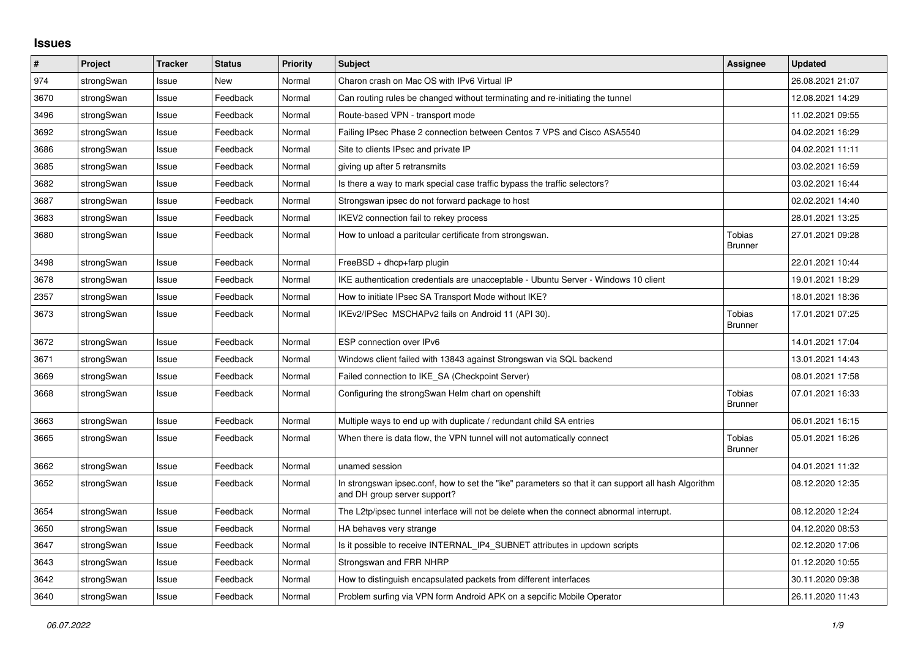## **Issues**

| #    | Project    | <b>Tracker</b> | <b>Status</b> | <b>Priority</b> | <b>Subject</b>                                                                                                                      | <b>Assignee</b>                 | <b>Updated</b>   |
|------|------------|----------------|---------------|-----------------|-------------------------------------------------------------------------------------------------------------------------------------|---------------------------------|------------------|
| 974  | strongSwan | Issue          | <b>New</b>    | Normal          | Charon crash on Mac OS with IPv6 Virtual IP                                                                                         |                                 | 26.08.2021 21:07 |
| 3670 | strongSwan | Issue          | Feedback      | Normal          | Can routing rules be changed without terminating and re-initiating the tunnel                                                       |                                 | 12.08.2021 14:29 |
| 3496 | strongSwan | Issue          | Feedback      | Normal          | Route-based VPN - transport mode                                                                                                    |                                 | 11.02.2021 09:55 |
| 3692 | strongSwan | Issue          | Feedback      | Normal          | Failing IPsec Phase 2 connection between Centos 7 VPS and Cisco ASA5540                                                             |                                 | 04.02.2021 16:29 |
| 3686 | strongSwan | Issue          | Feedback      | Normal          | Site to clients IPsec and private IP                                                                                                |                                 | 04.02.2021 11:11 |
| 3685 | strongSwan | Issue          | Feedback      | Normal          | giving up after 5 retransmits                                                                                                       |                                 | 03.02.2021 16:59 |
| 3682 | strongSwan | Issue          | Feedback      | Normal          | Is there a way to mark special case traffic bypass the traffic selectors?                                                           |                                 | 03.02.2021 16:44 |
| 3687 | strongSwan | Issue          | Feedback      | Normal          | Strongswan ipsec do not forward package to host                                                                                     |                                 | 02.02.2021 14:40 |
| 3683 | strongSwan | Issue          | Feedback      | Normal          | IKEV2 connection fail to rekey process                                                                                              |                                 | 28.01.2021 13:25 |
| 3680 | strongSwan | Issue          | Feedback      | Normal          | How to unload a paritcular certificate from strongswan.                                                                             | Tobias<br><b>Brunner</b>        | 27.01.2021 09:28 |
| 3498 | strongSwan | Issue          | Feedback      | Normal          | $FreeBSD + dhop + farp plugin$                                                                                                      |                                 | 22.01.2021 10:44 |
| 3678 | strongSwan | Issue          | Feedback      | Normal          | IKE authentication credentials are unacceptable - Ubuntu Server - Windows 10 client                                                 |                                 | 19.01.2021 18:29 |
| 2357 | strongSwan | Issue          | Feedback      | Normal          | How to initiate IPsec SA Transport Mode without IKE?                                                                                |                                 | 18.01.2021 18:36 |
| 3673 | strongSwan | Issue          | Feedback      | Normal          | IKEv2/IPSec MSCHAPv2 fails on Android 11 (API 30).                                                                                  | <b>Tobias</b><br><b>Brunner</b> | 17.01.2021 07:25 |
| 3672 | strongSwan | Issue          | Feedback      | Normal          | ESP connection over IPv6                                                                                                            |                                 | 14.01.2021 17:04 |
| 3671 | strongSwan | Issue          | Feedback      | Normal          | Windows client failed with 13843 against Strongswan via SQL backend                                                                 |                                 | 13.01.2021 14:43 |
| 3669 | strongSwan | Issue          | Feedback      | Normal          | Failed connection to IKE SA (Checkpoint Server)                                                                                     |                                 | 08.01.2021 17:58 |
| 3668 | strongSwan | Issue          | Feedback      | Normal          | Configuring the strongSwan Helm chart on openshift                                                                                  | <b>Tobias</b><br><b>Brunner</b> | 07.01.2021 16:33 |
| 3663 | strongSwan | Issue          | Feedback      | Normal          | Multiple ways to end up with duplicate / redundant child SA entries                                                                 |                                 | 06.01.2021 16:15 |
| 3665 | strongSwan | Issue          | Feedback      | Normal          | When there is data flow, the VPN tunnel will not automatically connect                                                              | Tobias<br><b>Brunner</b>        | 05.01.2021 16:26 |
| 3662 | strongSwan | Issue          | Feedback      | Normal          | unamed session                                                                                                                      |                                 | 04.01.2021 11:32 |
| 3652 | strongSwan | Issue          | Feedback      | Normal          | In strongswan ipsec.conf, how to set the "ike" parameters so that it can support all hash Algorithm<br>and DH group server support? |                                 | 08.12.2020 12:35 |
| 3654 | strongSwan | Issue          | Feedback      | Normal          | The L2tp/ipsec tunnel interface will not be delete when the connect abnormal interrupt.                                             |                                 | 08.12.2020 12:24 |
| 3650 | strongSwan | Issue          | Feedback      | Normal          | HA behaves very strange                                                                                                             |                                 | 04.12.2020 08:53 |
| 3647 | strongSwan | Issue          | Feedback      | Normal          | Is it possible to receive INTERNAL_IP4_SUBNET attributes in updown scripts                                                          |                                 | 02.12.2020 17:06 |
| 3643 | strongSwan | Issue          | Feedback      | Normal          | Strongswan and FRR NHRP                                                                                                             |                                 | 01.12.2020 10:55 |
| 3642 | strongSwan | Issue          | Feedback      | Normal          | How to distinguish encapsulated packets from different interfaces                                                                   |                                 | 30.11.2020 09:38 |
| 3640 | strongSwan | Issue          | Feedback      | Normal          | Problem surfing via VPN form Android APK on a sepcific Mobile Operator                                                              |                                 | 26.11.2020 11:43 |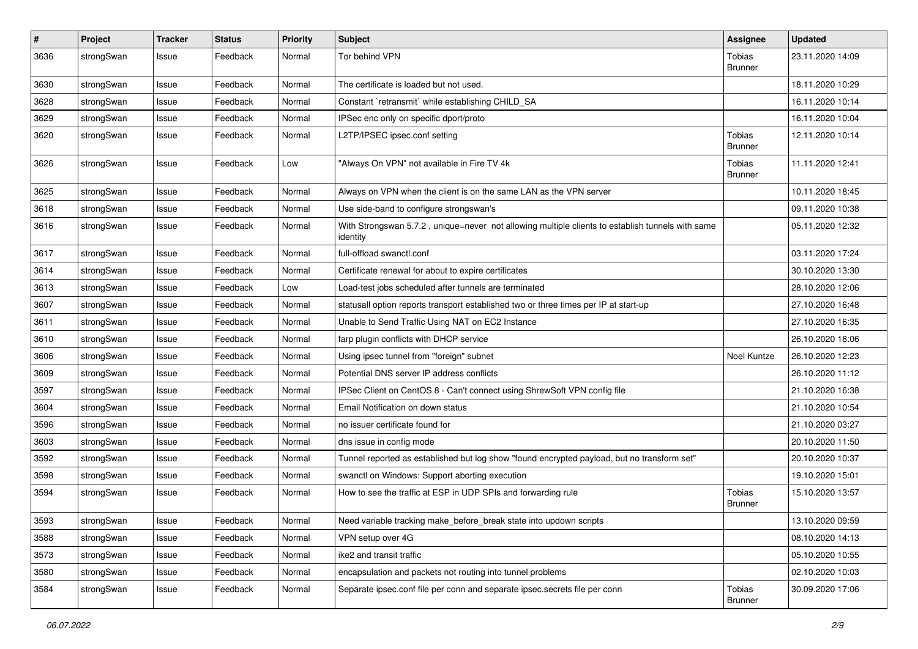| $\pmb{\#}$ | Project    | <b>Tracker</b> | <b>Status</b> | <b>Priority</b> | <b>Subject</b>                                                                                               | <b>Assignee</b>                 | <b>Updated</b>   |
|------------|------------|----------------|---------------|-----------------|--------------------------------------------------------------------------------------------------------------|---------------------------------|------------------|
| 3636       | strongSwan | Issue          | Feedback      | Normal          | Tor behind VPN                                                                                               | Tobias<br><b>Brunner</b>        | 23.11.2020 14:09 |
| 3630       | strongSwan | Issue          | Feedback      | Normal          | The certificate is loaded but not used.                                                                      |                                 | 18.11.2020 10:29 |
| 3628       | strongSwan | Issue          | Feedback      | Normal          | Constant `retransmit` while establishing CHILD SA                                                            |                                 | 16.11.2020 10:14 |
| 3629       | strongSwan | Issue          | Feedback      | Normal          | IPSec enc only on specific dport/proto                                                                       |                                 | 16.11.2020 10:04 |
| 3620       | strongSwan | Issue          | Feedback      | Normal          | L2TP/IPSEC ipsec.conf setting                                                                                | <b>Tobias</b><br><b>Brunner</b> | 12.11.2020 10:14 |
| 3626       | strongSwan | Issue          | Feedback      | Low             | "Always On VPN" not available in Fire TV 4k                                                                  | <b>Tobias</b><br><b>Brunner</b> | 11.11.2020 12:41 |
| 3625       | strongSwan | Issue          | Feedback      | Normal          | Always on VPN when the client is on the same LAN as the VPN server                                           |                                 | 10.11.2020 18:45 |
| 3618       | strongSwan | Issue          | Feedback      | Normal          | Use side-band to configure strongswan's                                                                      |                                 | 09.11.2020 10:38 |
| 3616       | strongSwan | Issue          | Feedback      | Normal          | With Strongswan 5.7.2, unique=never not allowing multiple clients to establish tunnels with same<br>identity |                                 | 05.11.2020 12:32 |
| 3617       | strongSwan | Issue          | Feedback      | Normal          | full-offload swanctl.conf                                                                                    |                                 | 03.11.2020 17:24 |
| 3614       | strongSwan | Issue          | Feedback      | Normal          | Certificate renewal for about to expire certificates                                                         |                                 | 30.10.2020 13:30 |
| 3613       | strongSwan | Issue          | Feedback      | Low             | Load-test jobs scheduled after tunnels are terminated                                                        |                                 | 28.10.2020 12:06 |
| 3607       | strongSwan | Issue          | Feedback      | Normal          | statusall option reports transport established two or three times per IP at start-up                         |                                 | 27.10.2020 16:48 |
| 3611       | strongSwan | Issue          | Feedback      | Normal          | Unable to Send Traffic Using NAT on EC2 Instance                                                             |                                 | 27.10.2020 16:35 |
| 3610       | strongSwan | Issue          | Feedback      | Normal          | farp plugin conflicts with DHCP service                                                                      |                                 | 26.10.2020 18:06 |
| 3606       | strongSwan | Issue          | Feedback      | Normal          | Using ipsec tunnel from "foreign" subnet                                                                     | Noel Kuntze                     | 26.10.2020 12:23 |
| 3609       | strongSwan | Issue          | Feedback      | Normal          | Potential DNS server IP address conflicts                                                                    |                                 | 26.10.2020 11:12 |
| 3597       | strongSwan | Issue          | Feedback      | Normal          | IPSec Client on CentOS 8 - Can't connect using ShrewSoft VPN config file                                     |                                 | 21.10.2020 16:38 |
| 3604       | strongSwan | Issue          | Feedback      | Normal          | Email Notification on down status                                                                            |                                 | 21.10.2020 10:54 |
| 3596       | strongSwan | Issue          | Feedback      | Normal          | no issuer certificate found for                                                                              |                                 | 21.10.2020 03:27 |
| 3603       | strongSwan | Issue          | Feedback      | Normal          | dns issue in config mode                                                                                     |                                 | 20.10.2020 11:50 |
| 3592       | strongSwan | Issue          | Feedback      | Normal          | Tunnel reported as established but log show "found encrypted payload, but no transform set"                  |                                 | 20.10.2020 10:37 |
| 3598       | strongSwan | Issue          | Feedback      | Normal          | swanctl on Windows: Support aborting execution                                                               |                                 | 19.10.2020 15:01 |
| 3594       | strongSwan | Issue          | Feedback      | Normal          | How to see the traffic at ESP in UDP SPIs and forwarding rule                                                | Tobias<br>Brunner               | 15.10.2020 13:57 |
| 3593       | strongSwan | Issue          | Feedback      | Normal          | Need variable tracking make_before_break state into updown scripts                                           |                                 | 13.10.2020 09:59 |
| 3588       | strongSwan | Issue          | Feedback      | Normal          | VPN setup over 4G                                                                                            |                                 | 08.10.2020 14:13 |
| 3573       | strongSwan | Issue          | Feedback      | Normal          | ike2 and transit traffic                                                                                     |                                 | 05.10.2020 10:55 |
| 3580       | strongSwan | Issue          | Feedback      | Normal          | encapsulation and packets not routing into tunnel problems                                                   |                                 | 02.10.2020 10:03 |
| 3584       | strongSwan | Issue          | Feedback      | Normal          | Separate ipsec.conf file per conn and separate ipsec.secrets file per conn                                   | Tobias<br><b>Brunner</b>        | 30.09.2020 17:06 |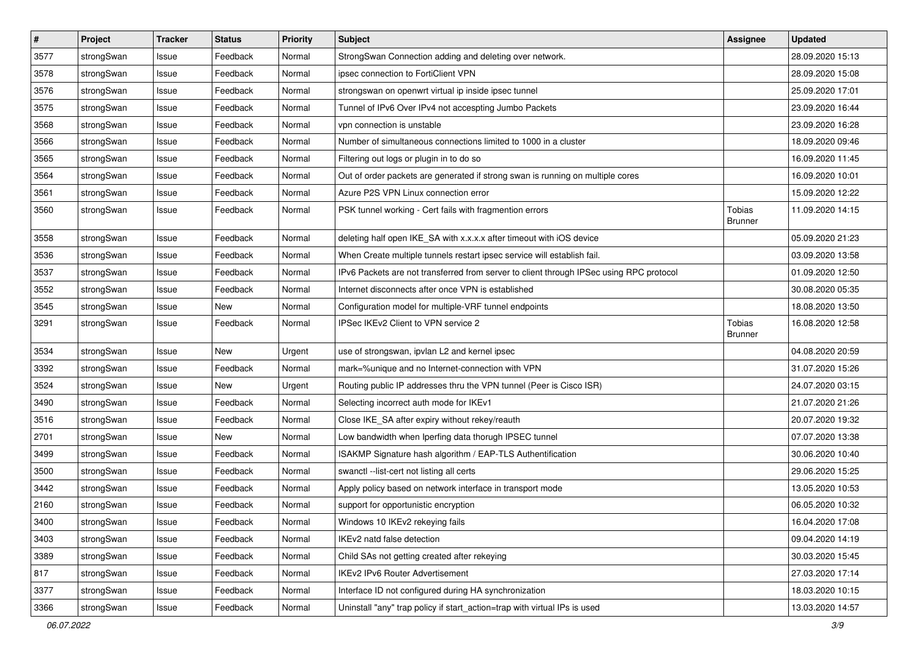| $\pmb{\#}$ | Project    | <b>Tracker</b> | <b>Status</b> | <b>Priority</b> | <b>Subject</b>                                                                          | Assignee                 | <b>Updated</b>   |
|------------|------------|----------------|---------------|-----------------|-----------------------------------------------------------------------------------------|--------------------------|------------------|
| 3577       | strongSwan | Issue          | Feedback      | Normal          | StrongSwan Connection adding and deleting over network.                                 |                          | 28.09.2020 15:13 |
| 3578       | strongSwan | Issue          | Feedback      | Normal          | ipsec connection to FortiClient VPN                                                     |                          | 28.09.2020 15:08 |
| 3576       | strongSwan | Issue          | Feedback      | Normal          | strongswan on openwrt virtual ip inside ipsec tunnel                                    |                          | 25.09.2020 17:01 |
| 3575       | strongSwan | Issue          | Feedback      | Normal          | Tunnel of IPv6 Over IPv4 not accespting Jumbo Packets                                   |                          | 23.09.2020 16:44 |
| 3568       | strongSwan | Issue          | Feedback      | Normal          | vpn connection is unstable                                                              |                          | 23.09.2020 16:28 |
| 3566       | strongSwan | Issue          | Feedback      | Normal          | Number of simultaneous connections limited to 1000 in a cluster                         |                          | 18.09.2020 09:46 |
| 3565       | strongSwan | Issue          | Feedback      | Normal          | Filtering out logs or plugin in to do so                                                |                          | 16.09.2020 11:45 |
| 3564       | strongSwan | Issue          | Feedback      | Normal          | Out of order packets are generated if strong swan is running on multiple cores          |                          | 16.09.2020 10:01 |
| 3561       | strongSwan | Issue          | Feedback      | Normal          | Azure P2S VPN Linux connection error                                                    |                          | 15.09.2020 12:22 |
| 3560       | strongSwan | Issue          | Feedback      | Normal          | PSK tunnel working - Cert fails with fragmention errors                                 | Tobias<br><b>Brunner</b> | 11.09.2020 14:15 |
| 3558       | strongSwan | Issue          | Feedback      | Normal          | deleting half open IKE_SA with x.x.x.x after timeout with iOS device                    |                          | 05.09.2020 21:23 |
| 3536       | strongSwan | Issue          | Feedback      | Normal          | When Create multiple tunnels restart ipsec service will establish fail.                 |                          | 03.09.2020 13:58 |
| 3537       | strongSwan | Issue          | Feedback      | Normal          | IPv6 Packets are not transferred from server to client through IPSec using RPC protocol |                          | 01.09.2020 12:50 |
| 3552       | strongSwan | Issue          | Feedback      | Normal          | Internet disconnects after once VPN is established                                      |                          | 30.08.2020 05:35 |
| 3545       | strongSwan | Issue          | New           | Normal          | Configuration model for multiple-VRF tunnel endpoints                                   |                          | 18.08.2020 13:50 |
| 3291       | strongSwan | Issue          | Feedback      | Normal          | IPSec IKEv2 Client to VPN service 2                                                     | Tobias<br><b>Brunner</b> | 16.08.2020 12:58 |
| 3534       | strongSwan | Issue          | New           | Urgent          | use of strongswan, ipvlan L2 and kernel ipsec                                           |                          | 04.08.2020 20:59 |
| 3392       | strongSwan | Issue          | Feedback      | Normal          | mark=%unique and no Internet-connection with VPN                                        |                          | 31.07.2020 15:26 |
| 3524       | strongSwan | Issue          | <b>New</b>    | Urgent          | Routing public IP addresses thru the VPN tunnel (Peer is Cisco ISR)                     |                          | 24.07.2020 03:15 |
| 3490       | strongSwan | Issue          | Feedback      | Normal          | Selecting incorrect auth mode for IKEv1                                                 |                          | 21.07.2020 21:26 |
| 3516       | strongSwan | Issue          | Feedback      | Normal          | Close IKE_SA after expiry without rekey/reauth                                          |                          | 20.07.2020 19:32 |
| 2701       | strongSwan | Issue          | New           | Normal          | Low bandwidth when Iperfing data thorugh IPSEC tunnel                                   |                          | 07.07.2020 13:38 |
| 3499       | strongSwan | Issue          | Feedback      | Normal          | ISAKMP Signature hash algorithm / EAP-TLS Authentification                              |                          | 30.06.2020 10:40 |
| 3500       | strongSwan | Issue          | Feedback      | Normal          | swanctl --list-cert not listing all certs                                               |                          | 29.06.2020 15:25 |
| 3442       | strongSwan | Issue          | Feedback      | Normal          | Apply policy based on network interface in transport mode                               |                          | 13.05.2020 10:53 |
| 2160       | strongSwan | Issue          | Feedback      | Normal          | support for opportunistic encryption                                                    |                          | 06.05.2020 10:32 |
| 3400       | strongSwan | Issue          | Feedback      | Normal          | Windows 10 IKEv2 rekeying fails                                                         |                          | 16.04.2020 17:08 |
| 3403       | strongSwan | Issue          | Feedback      | Normal          | IKEv2 natd false detection                                                              |                          | 09.04.2020 14:19 |
| 3389       | strongSwan | Issue          | Feedback      | Normal          | Child SAs not getting created after rekeying                                            |                          | 30.03.2020 15:45 |
| 817        | strongSwan | Issue          | Feedback      | Normal          | IKEv2 IPv6 Router Advertisement                                                         |                          | 27.03.2020 17:14 |
| 3377       | strongSwan | Issue          | Feedback      | Normal          | Interface ID not configured during HA synchronization                                   |                          | 18.03.2020 10:15 |
| 3366       | strongSwan | Issue          | Feedback      | Normal          | Uninstall "any" trap policy if start_action=trap with virtual IPs is used               |                          | 13.03.2020 14:57 |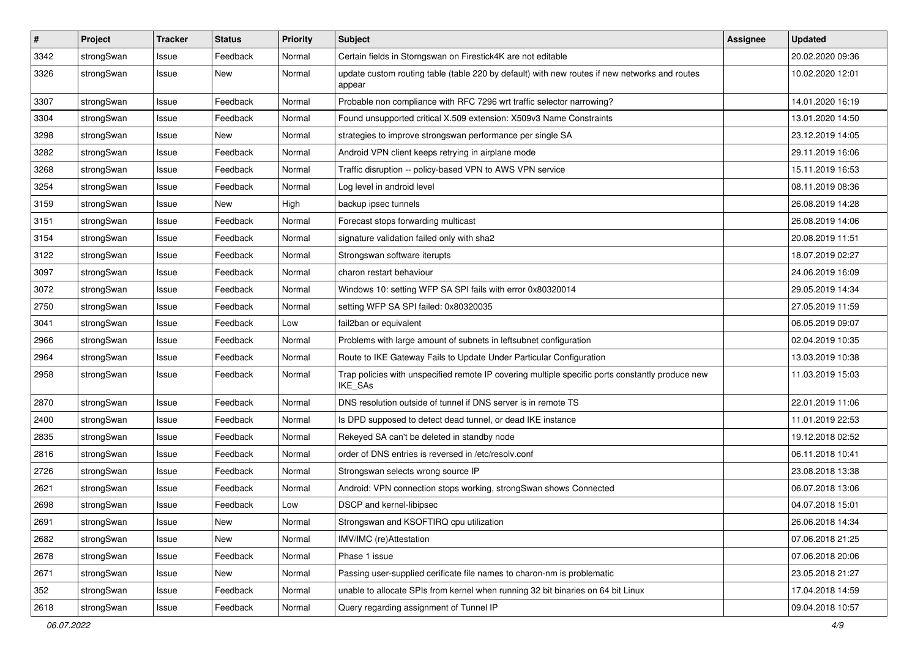| $\pmb{\#}$ | Project    | <b>Tracker</b> | <b>Status</b> | <b>Priority</b> | <b>Subject</b>                                                                                                     | Assignee | <b>Updated</b>   |
|------------|------------|----------------|---------------|-----------------|--------------------------------------------------------------------------------------------------------------------|----------|------------------|
| 3342       | strongSwan | Issue          | Feedback      | Normal          | Certain fields in Storngswan on Firestick4K are not editable                                                       |          | 20.02.2020 09:36 |
| 3326       | strongSwan | Issue          | New           | Normal          | update custom routing table (table 220 by default) with new routes if new networks and routes<br>appear            |          | 10.02.2020 12:01 |
| 3307       | strongSwan | Issue          | Feedback      | Normal          | Probable non compliance with RFC 7296 wrt traffic selector narrowing?                                              |          | 14.01.2020 16:19 |
| 3304       | strongSwan | lssue          | Feedback      | Normal          | Found unsupported critical X.509 extension: X509v3 Name Constraints                                                |          | 13.01.2020 14:50 |
| 3298       | strongSwan | Issue          | New           | Normal          | strategies to improve strongswan performance per single SA                                                         |          | 23.12.2019 14:05 |
| 3282       | strongSwan | Issue          | Feedback      | Normal          | Android VPN client keeps retrying in airplane mode                                                                 |          | 29.11.2019 16:06 |
| 3268       | strongSwan | Issue          | Feedback      | Normal          | Traffic disruption -- policy-based VPN to AWS VPN service                                                          |          | 15.11.2019 16:53 |
| 3254       | strongSwan | Issue          | Feedback      | Normal          | Log level in android level                                                                                         |          | 08.11.2019 08:36 |
| 3159       | strongSwan | Issue          | New           | High            | backup ipsec tunnels                                                                                               |          | 26.08.2019 14:28 |
| 3151       | strongSwan | Issue          | Feedback      | Normal          | Forecast stops forwarding multicast                                                                                |          | 26.08.2019 14:06 |
| 3154       | strongSwan | Issue          | Feedback      | Normal          | signature validation failed only with sha2                                                                         |          | 20.08.2019 11:51 |
| 3122       | strongSwan | Issue          | Feedback      | Normal          | Strongswan software iterupts                                                                                       |          | 18.07.2019 02:27 |
| 3097       | strongSwan | lssue          | Feedback      | Normal          | charon restart behaviour                                                                                           |          | 24.06.2019 16:09 |
| 3072       | strongSwan | Issue          | Feedback      | Normal          | Windows 10: setting WFP SA SPI fails with error 0x80320014                                                         |          | 29.05.2019 14:34 |
| 2750       | strongSwan | Issue          | Feedback      | Normal          | setting WFP SA SPI failed: 0x80320035                                                                              |          | 27.05.2019 11:59 |
| 3041       | strongSwan | lssue          | Feedback      | Low             | fail2ban or equivalent                                                                                             |          | 06.05.2019 09:07 |
| 2966       | strongSwan | Issue          | Feedback      | Normal          | Problems with large amount of subnets in leftsubnet configuration                                                  |          | 02.04.2019 10:35 |
| 2964       | strongSwan | Issue          | Feedback      | Normal          | Route to IKE Gateway Fails to Update Under Particular Configuration                                                |          | 13.03.2019 10:38 |
| 2958       | strongSwan | Issue          | Feedback      | Normal          | Trap policies with unspecified remote IP covering multiple specific ports constantly produce new<br><b>IKE SAs</b> |          | 11.03.2019 15:03 |
| 2870       | strongSwan | Issue          | Feedback      | Normal          | DNS resolution outside of tunnel if DNS server is in remote TS                                                     |          | 22.01.2019 11:06 |
| 2400       | strongSwan | Issue          | Feedback      | Normal          | Is DPD supposed to detect dead tunnel, or dead IKE instance                                                        |          | 11.01.2019 22:53 |
| 2835       | strongSwan | Issue          | Feedback      | Normal          | Rekeyed SA can't be deleted in standby node                                                                        |          | 19.12.2018 02:52 |
| 2816       | strongSwan | Issue          | Feedback      | Normal          | order of DNS entries is reversed in /etc/resolv.conf                                                               |          | 06.11.2018 10:41 |
| 2726       | strongSwan | Issue          | Feedback      | Normal          | Strongswan selects wrong source IP                                                                                 |          | 23.08.2018 13:38 |
| 2621       | strongSwan | lssue          | Feedback      | Normal          | Android: VPN connection stops working, strongSwan shows Connected                                                  |          | 06.07.2018 13:06 |
| 2698       | strongSwan | Issue          | Feedback      | Low             | DSCP and kernel-libipsec                                                                                           |          | 04.07.2018 15:01 |
| 2691       | strongSwan | Issue          | New           | Normal          | Strongswan and KSOFTIRQ cpu utilization                                                                            |          | 26.06.2018 14:34 |
| 2682       | strongSwan | Issue          | New           | Normal          | IMV/IMC (re)Attestation                                                                                            |          | 07.06.2018 21:25 |
| 2678       | strongSwan | Issue          | Feedback      | Normal          | Phase 1 issue                                                                                                      |          | 07.06.2018 20:06 |
| 2671       | strongSwan | Issue          | New           | Normal          | Passing user-supplied cerificate file names to charon-nm is problematic                                            |          | 23.05.2018 21:27 |
| 352        | strongSwan | Issue          | Feedback      | Normal          | unable to allocate SPIs from kernel when running 32 bit binaries on 64 bit Linux                                   |          | 17.04.2018 14:59 |
| 2618       | strongSwan | Issue          | Feedback      | Normal          | Query regarding assignment of Tunnel IP                                                                            |          | 09.04.2018 10:57 |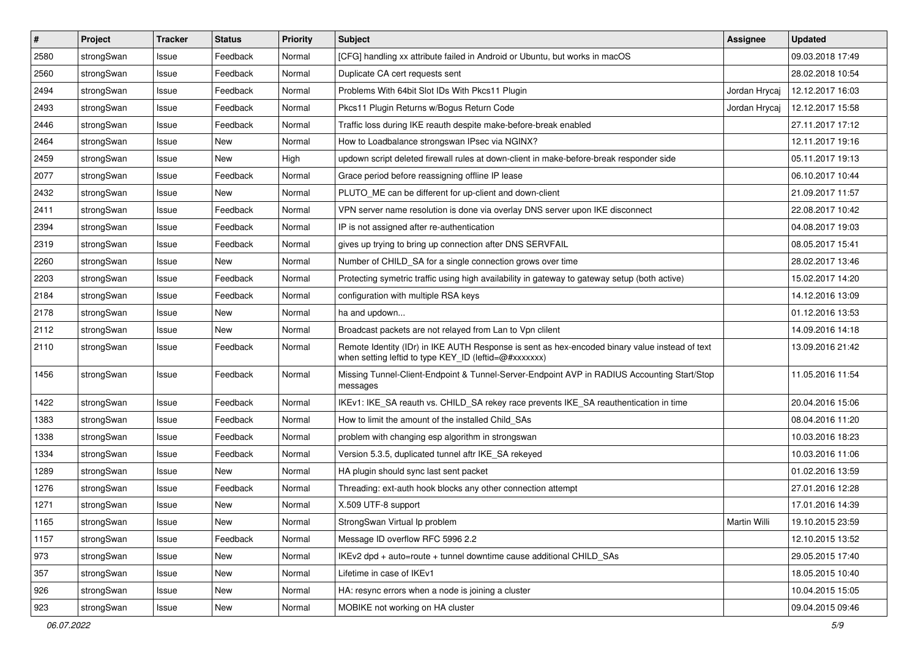| #    | Project    | <b>Tracker</b> | <b>Status</b> | <b>Priority</b> | <b>Subject</b>                                                                                                                                          | Assignee      | <b>Updated</b>   |
|------|------------|----------------|---------------|-----------------|---------------------------------------------------------------------------------------------------------------------------------------------------------|---------------|------------------|
| 2580 | strongSwan | Issue          | Feedback      | Normal          | [CFG] handling xx attribute failed in Android or Ubuntu, but works in macOS                                                                             |               | 09.03.2018 17:49 |
| 2560 | strongSwan | Issue          | Feedback      | Normal          | Duplicate CA cert requests sent                                                                                                                         |               | 28.02.2018 10:54 |
| 2494 | strongSwan | Issue          | Feedback      | Normal          | Problems With 64bit Slot IDs With Pkcs11 Plugin                                                                                                         | Jordan Hrycaj | 12.12.2017 16:03 |
| 2493 | strongSwan | Issue          | Feedback      | Normal          | Pkcs11 Plugin Returns w/Bogus Return Code                                                                                                               | Jordan Hrycaj | 12.12.2017 15:58 |
| 2446 | strongSwan | Issue          | Feedback      | Normal          | Traffic loss during IKE reauth despite make-before-break enabled                                                                                        |               | 27.11.2017 17:12 |
| 2464 | strongSwan | Issue          | <b>New</b>    | Normal          | How to Loadbalance strongswan IPsec via NGINX?                                                                                                          |               | 12.11.2017 19:16 |
| 2459 | strongSwan | Issue          | New           | High            | updown script deleted firewall rules at down-client in make-before-break responder side                                                                 |               | 05.11.2017 19:13 |
| 2077 | strongSwan | Issue          | Feedback      | Normal          | Grace period before reassigning offline IP lease                                                                                                        |               | 06.10.2017 10:44 |
| 2432 | strongSwan | Issue          | <b>New</b>    | Normal          | PLUTO_ME can be different for up-client and down-client                                                                                                 |               | 21.09.2017 11:57 |
| 2411 | strongSwan | Issue          | Feedback      | Normal          | VPN server name resolution is done via overlay DNS server upon IKE disconnect                                                                           |               | 22.08.2017 10:42 |
| 2394 | strongSwan | Issue          | Feedback      | Normal          | IP is not assigned after re-authentication                                                                                                              |               | 04.08.2017 19:03 |
| 2319 | strongSwan | Issue          | Feedback      | Normal          | gives up trying to bring up connection after DNS SERVFAIL                                                                                               |               | 08.05.2017 15:41 |
| 2260 | strongSwan | Issue          | <b>New</b>    | Normal          | Number of CHILD_SA for a single connection grows over time                                                                                              |               | 28.02.2017 13:46 |
| 2203 | strongSwan | Issue          | Feedback      | Normal          | Protecting symetric traffic using high availability in gateway to gateway setup (both active)                                                           |               | 15.02.2017 14:20 |
| 2184 | strongSwan | Issue          | Feedback      | Normal          | configuration with multiple RSA keys                                                                                                                    |               | 14.12.2016 13:09 |
| 2178 | strongSwan | Issue          | New           | Normal          | ha and updown                                                                                                                                           |               | 01.12.2016 13:53 |
| 2112 | strongSwan | Issue          | New           | Normal          | Broadcast packets are not relayed from Lan to Vpn clilent                                                                                               |               | 14.09.2016 14:18 |
| 2110 | strongSwan | Issue          | Feedback      | Normal          | Remote Identity (IDr) in IKE AUTH Response is sent as hex-encoded binary value instead of text<br>when setting leftid to type KEY_ID (leftid=@#xxxxxxx) |               | 13.09.2016 21:42 |
| 1456 | strongSwan | Issue          | Feedback      | Normal          | Missing Tunnel-Client-Endpoint & Tunnel-Server-Endpoint AVP in RADIUS Accounting Start/Stop<br>messages                                                 |               | 11.05.2016 11:54 |
| 1422 | strongSwan | Issue          | Feedback      | Normal          | IKEv1: IKE_SA reauth vs. CHILD_SA rekey race prevents IKE_SA reauthentication in time                                                                   |               | 20.04.2016 15:06 |
| 1383 | strongSwan | Issue          | Feedback      | Normal          | How to limit the amount of the installed Child SAs                                                                                                      |               | 08.04.2016 11:20 |
| 1338 | strongSwan | Issue          | Feedback      | Normal          | problem with changing esp algorithm in strongswan                                                                                                       |               | 10.03.2016 18:23 |
| 1334 | strongSwan | Issue          | Feedback      | Normal          | Version 5.3.5, duplicated tunnel aftr IKE_SA rekeyed                                                                                                    |               | 10.03.2016 11:06 |
| 1289 | strongSwan | Issue          | New           | Normal          | HA plugin should sync last sent packet                                                                                                                  |               | 01.02.2016 13:59 |
| 1276 | strongSwan | Issue          | Feedback      | Normal          | Threading: ext-auth hook blocks any other connection attempt                                                                                            |               | 27.01.2016 12:28 |
| 1271 | strongSwan | Issue          | New           | Normal          | X.509 UTF-8 support                                                                                                                                     |               | 17.01.2016 14:39 |
| 1165 | strongSwan | Issue          | New           | Normal          | StrongSwan Virtual Ip problem                                                                                                                           | Martin Willi  | 19.10.2015 23:59 |
| 1157 | strongSwan | Issue          | Feedback      | Normal          | Message ID overflow RFC 5996 2.2                                                                                                                        |               | 12.10.2015 13:52 |
| 973  | strongSwan | Issue          | <b>New</b>    | Normal          | IKEv2 dpd + auto=route + tunnel downtime cause additional CHILD_SAs                                                                                     |               | 29.05.2015 17:40 |
| 357  | strongSwan | Issue          | New           | Normal          | Lifetime in case of IKEv1                                                                                                                               |               | 18.05.2015 10:40 |
| 926  | strongSwan | Issue          | New           | Normal          | HA: resync errors when a node is joining a cluster                                                                                                      |               | 10.04.2015 15:05 |
| 923  | strongSwan | Issue          | New           | Normal          | MOBIKE not working on HA cluster                                                                                                                        |               | 09.04.2015 09:46 |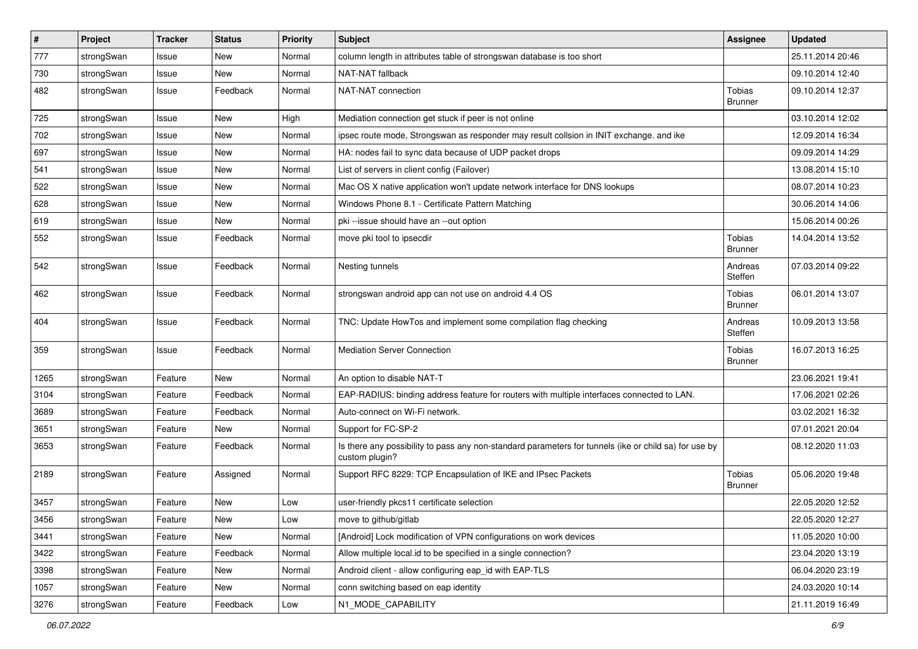| $\sharp$ | Project    | <b>Tracker</b> | <b>Status</b> | <b>Priority</b> | <b>Subject</b>                                                                                                          | <b>Assignee</b>          | <b>Updated</b>   |
|----------|------------|----------------|---------------|-----------------|-------------------------------------------------------------------------------------------------------------------------|--------------------------|------------------|
| 777      | strongSwan | Issue          | New           | Normal          | column length in attributes table of strongswan database is too short                                                   |                          | 25.11.2014 20:46 |
| 730      | strongSwan | Issue          | New           | Normal          | NAT-NAT fallback                                                                                                        |                          | 09.10.2014 12:40 |
| 482      | strongSwan | Issue          | Feedback      | Normal          | NAT-NAT connection                                                                                                      | Tobias<br><b>Brunner</b> | 09.10.2014 12:37 |
| 725      | strongSwan | Issue          | New           | High            | Mediation connection get stuck if peer is not online                                                                    |                          | 03.10.2014 12:02 |
| 702      | strongSwan | Issue          | New           | Normal          | ipsec route mode, Strongswan as responder may result collsion in INIT exchange. and ike                                 |                          | 12.09.2014 16:34 |
| 697      | strongSwan | Issue          | New           | Normal          | HA: nodes fail to sync data because of UDP packet drops                                                                 |                          | 09.09.2014 14:29 |
| 541      | strongSwan | Issue          | <b>New</b>    | Normal          | List of servers in client config (Failover)                                                                             |                          | 13.08.2014 15:10 |
| 522      | strongSwan | Issue          | New           | Normal          | Mac OS X native application won't update network interface for DNS lookups                                              |                          | 08.07.2014 10:23 |
| 628      | strongSwan | Issue          | New           | Normal          | Windows Phone 8.1 - Certificate Pattern Matching                                                                        |                          | 30.06.2014 14:06 |
| 619      | strongSwan | Issue          | New           | Normal          | pki --issue should have an --out option                                                                                 |                          | 15.06.2014 00:26 |
| 552      | strongSwan | Issue          | Feedback      | Normal          | move pki tool to ipsecdir                                                                                               | Tobias<br><b>Brunner</b> | 14.04.2014 13:52 |
| 542      | strongSwan | Issue          | Feedback      | Normal          | Nesting tunnels                                                                                                         | Andreas<br>Steffen       | 07.03.2014 09:22 |
| 462      | strongSwan | Issue          | Feedback      | Normal          | strongswan android app can not use on android 4.4 OS                                                                    | Tobias<br><b>Brunner</b> | 06.01.2014 13:07 |
| 404      | strongSwan | Issue          | Feedback      | Normal          | TNC: Update HowTos and implement some compilation flag checking                                                         | Andreas<br>Steffen       | 10.09.2013 13:58 |
| 359      | strongSwan | Issue          | Feedback      | Normal          | <b>Mediation Server Connection</b>                                                                                      | Tobias<br><b>Brunner</b> | 16.07.2013 16:25 |
| 1265     | strongSwan | Feature        | New           | Normal          | An option to disable NAT-T                                                                                              |                          | 23.06.2021 19:41 |
| 3104     | strongSwan | Feature        | Feedback      | Normal          | EAP-RADIUS: binding address feature for routers with multiple interfaces connected to LAN.                              |                          | 17.06.2021 02:26 |
| 3689     | strongSwan | Feature        | Feedback      | Normal          | Auto-connect on Wi-Fi network.                                                                                          |                          | 03.02.2021 16:32 |
| 3651     | strongSwan | Feature        | New           | Normal          | Support for FC-SP-2                                                                                                     |                          | 07.01.2021 20:04 |
| 3653     | strongSwan | Feature        | Feedback      | Normal          | Is there any possibility to pass any non-standard parameters for tunnels (ike or child sa) for use by<br>custom plugin? |                          | 08.12.2020 11:03 |
| 2189     | strongSwan | Feature        | Assigned      | Normal          | Support RFC 8229: TCP Encapsulation of IKE and IPsec Packets                                                            | Tobias<br><b>Brunner</b> | 05.06.2020 19:48 |
| 3457     | strongSwan | Feature        | New           | Low             | user-friendly pkcs11 certificate selection                                                                              |                          | 22.05.2020 12:52 |
| 3456     | strongSwan | Feature        | New           | LOW             | move to github/gitlab                                                                                                   |                          | 22.05.2020 12:27 |
| 3441     | strongSwan | Feature        | New           | Normal          | [Android] Lock modification of VPN configurations on work devices                                                       |                          | 11.05.2020 10:00 |
| 3422     | strongSwan | Feature        | Feedback      | Normal          | Allow multiple local id to be specified in a single connection?                                                         |                          | 23.04.2020 13:19 |
| 3398     | strongSwan | Feature        | New           | Normal          | Android client - allow configuring eap_id with EAP-TLS                                                                  |                          | 06.04.2020 23:19 |
| 1057     | strongSwan | Feature        | New           | Normal          | conn switching based on eap identity                                                                                    |                          | 24.03.2020 10:14 |
| 3276     | strongSwan | Feature        | Feedback      | Low             | N1_MODE_CAPABILITY                                                                                                      |                          | 21.11.2019 16:49 |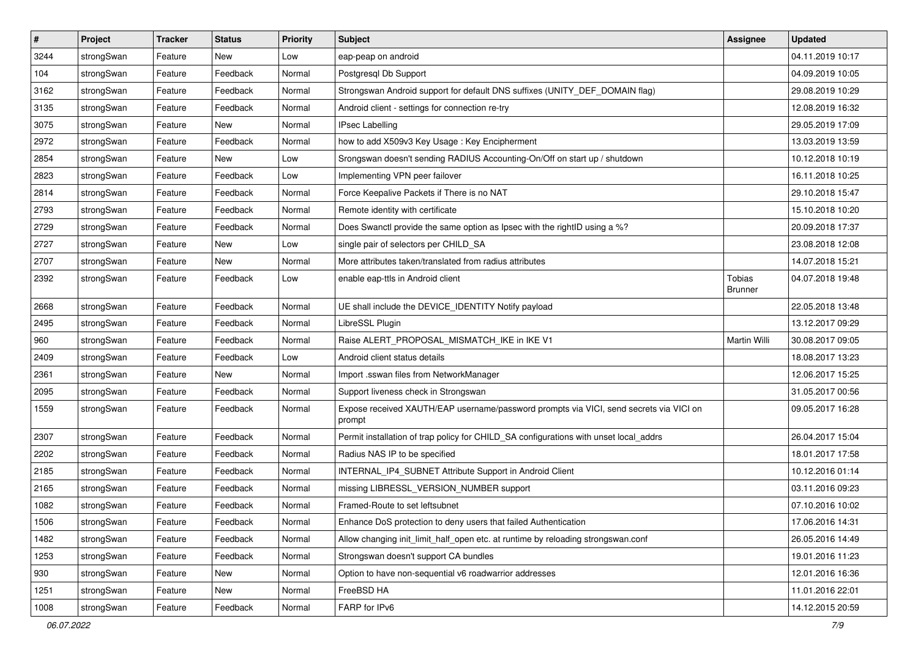| $\pmb{\#}$ | Project    | <b>Tracker</b> | <b>Status</b> | <b>Priority</b> | <b>Subject</b>                                                                                   | <b>Assignee</b>          | <b>Updated</b>   |
|------------|------------|----------------|---------------|-----------------|--------------------------------------------------------------------------------------------------|--------------------------|------------------|
| 3244       | strongSwan | Feature        | New           | Low             | eap-peap on android                                                                              |                          | 04.11.2019 10:17 |
| 104        | strongSwan | Feature        | Feedback      | Normal          | Postgresql Db Support                                                                            |                          | 04.09.2019 10:05 |
| 3162       | strongSwan | Feature        | Feedback      | Normal          | Strongswan Android support for default DNS suffixes (UNITY_DEF_DOMAIN flag)                      |                          | 29.08.2019 10:29 |
| 3135       | strongSwan | Feature        | Feedback      | Normal          | Android client - settings for connection re-try                                                  |                          | 12.08.2019 16:32 |
| 3075       | strongSwan | Feature        | New           | Normal          | <b>IPsec Labelling</b>                                                                           |                          | 29.05.2019 17:09 |
| 2972       | strongSwan | Feature        | Feedback      | Normal          | how to add X509v3 Key Usage: Key Encipherment                                                    |                          | 13.03.2019 13:59 |
| 2854       | strongSwan | Feature        | New           | Low             | Srongswan doesn't sending RADIUS Accounting-On/Off on start up / shutdown                        |                          | 10.12.2018 10:19 |
| 2823       | strongSwan | Feature        | Feedback      | Low             | Implementing VPN peer failover                                                                   |                          | 16.11.2018 10:25 |
| 2814       | strongSwan | Feature        | Feedback      | Normal          | Force Keepalive Packets if There is no NAT                                                       |                          | 29.10.2018 15:47 |
| 2793       | strongSwan | Feature        | Feedback      | Normal          | Remote identity with certificate                                                                 |                          | 15.10.2018 10:20 |
| 2729       | strongSwan | Feature        | Feedback      | Normal          | Does Swanctl provide the same option as Ipsec with the rightID using a %?                        |                          | 20.09.2018 17:37 |
| 2727       | strongSwan | Feature        | New           | Low             | single pair of selectors per CHILD_SA                                                            |                          | 23.08.2018 12:08 |
| 2707       | strongSwan | Feature        | New           | Normal          | More attributes taken/translated from radius attributes                                          |                          | 14.07.2018 15:21 |
| 2392       | strongSwan | Feature        | Feedback      | Low             | enable eap-ttls in Android client                                                                | Tobias<br><b>Brunner</b> | 04.07.2018 19:48 |
| 2668       | strongSwan | Feature        | Feedback      | Normal          | UE shall include the DEVICE_IDENTITY Notify payload                                              |                          | 22.05.2018 13:48 |
| 2495       | strongSwan | Feature        | Feedback      | Normal          | LibreSSL Plugin                                                                                  |                          | 13.12.2017 09:29 |
| 960        | strongSwan | Feature        | Feedback      | Normal          | Raise ALERT_PROPOSAL_MISMATCH_IKE in IKE V1                                                      | Martin Willi             | 30.08.2017 09:05 |
| 2409       | strongSwan | Feature        | Feedback      | Low             | Android client status details                                                                    |                          | 18.08.2017 13:23 |
| 2361       | strongSwan | Feature        | New           | Normal          | Import .sswan files from NetworkManager                                                          |                          | 12.06.2017 15:25 |
| 2095       | strongSwan | Feature        | Feedback      | Normal          | Support liveness check in Strongswan                                                             |                          | 31.05.2017 00:56 |
| 1559       | strongSwan | Feature        | Feedback      | Normal          | Expose received XAUTH/EAP username/password prompts via VICI, send secrets via VICI on<br>prompt |                          | 09.05.2017 16:28 |
| 2307       | strongSwan | Feature        | Feedback      | Normal          | Permit installation of trap policy for CHILD_SA configurations with unset local_addrs            |                          | 26.04.2017 15:04 |
| 2202       | strongSwan | Feature        | Feedback      | Normal          | Radius NAS IP to be specified                                                                    |                          | 18.01.2017 17:58 |
| 2185       | strongSwan | Feature        | Feedback      | Normal          | INTERNAL_IP4_SUBNET Attribute Support in Android Client                                          |                          | 10.12.2016 01:14 |
| 2165       | strongSwan | Feature        | Feedback      | Normal          | missing LIBRESSL_VERSION_NUMBER support                                                          |                          | 03.11.2016 09:23 |
| 1082       | strongSwan | Feature        | Feedback      | Normal          | Framed-Route to set leftsubnet                                                                   |                          | 07.10.2016 10:02 |
| 1506       | strongSwan | Feature        | Feedback      | Normal          | Enhance DoS protection to deny users that failed Authentication                                  |                          | 17.06.2016 14:31 |
| 1482       | strongSwan | Feature        | Feedback      | Normal          | Allow changing init_limit_half_open etc. at runtime by reloading strongswan.conf                 |                          | 26.05.2016 14:49 |
| 1253       | strongSwan | Feature        | Feedback      | Normal          | Strongswan doesn't support CA bundles                                                            |                          | 19.01.2016 11:23 |
| 930        | strongSwan | Feature        | New           | Normal          | Option to have non-sequential v6 roadwarrior addresses                                           |                          | 12.01.2016 16:36 |
| 1251       | strongSwan | Feature        | New           | Normal          | FreeBSD HA                                                                                       |                          | 11.01.2016 22:01 |
| 1008       | strongSwan | Feature        | Feedback      | Normal          | FARP for IPv6                                                                                    |                          | 14.12.2015 20:59 |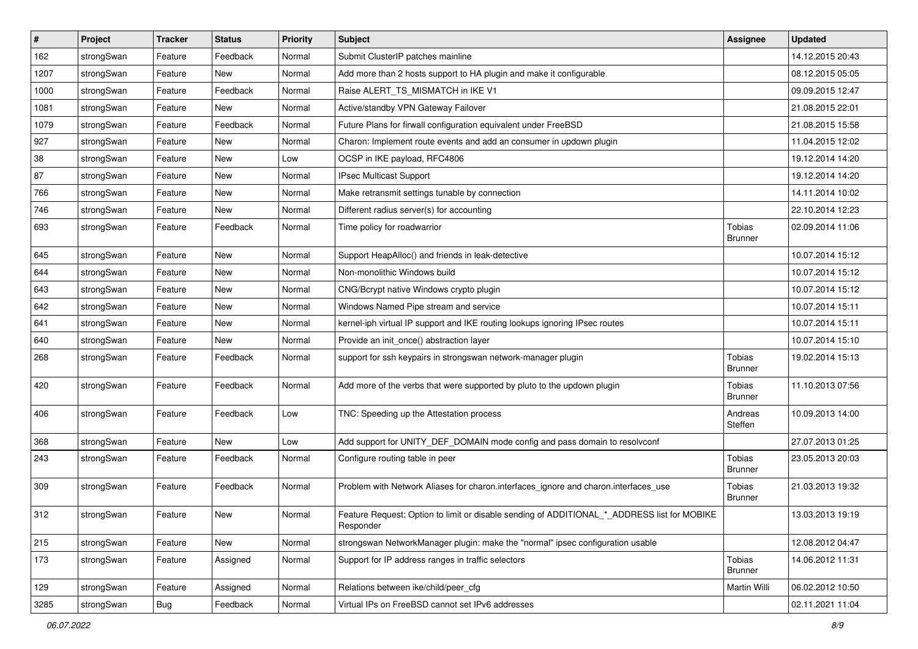| $\vert$ # | Project    | <b>Tracker</b> | <b>Status</b> | Priority | Subject                                                                                                  | <b>Assignee</b>          | <b>Updated</b>   |
|-----------|------------|----------------|---------------|----------|----------------------------------------------------------------------------------------------------------|--------------------------|------------------|
| 162       | strongSwan | Feature        | Feedback      | Normal   | Submit ClusterIP patches mainline                                                                        |                          | 14.12.2015 20:43 |
| 1207      | strongSwan | Feature        | New           | Normal   | Add more than 2 hosts support to HA plugin and make it configurable                                      |                          | 08.12.2015 05:05 |
| 1000      | strongSwan | Feature        | Feedback      | Normal   | Raise ALERT_TS_MISMATCH in IKE V1                                                                        |                          | 09.09.2015 12:47 |
| 1081      | strongSwan | Feature        | New           | Normal   | Active/standby VPN Gateway Failover                                                                      |                          | 21.08.2015 22:01 |
| 1079      | strongSwan | Feature        | Feedback      | Normal   | Future Plans for firwall configuration equivalent under FreeBSD                                          |                          | 21.08.2015 15:58 |
| 927       | strongSwan | Feature        | New           | Normal   | Charon: Implement route events and add an consumer in updown plugin                                      |                          | 11.04.2015 12:02 |
| 38        | strongSwan | Feature        | New           | Low      | OCSP in IKE payload, RFC4806                                                                             |                          | 19.12.2014 14:20 |
| 87        | strongSwan | Feature        | New           | Normal   | <b>IPsec Multicast Support</b>                                                                           |                          | 19.12.2014 14:20 |
| 766       | strongSwan | Feature        | <b>New</b>    | Normal   | Make retransmit settings tunable by connection                                                           |                          | 14.11.2014 10:02 |
| 746       | strongSwan | Feature        | New           | Normal   | Different radius server(s) for accounting                                                                |                          | 22.10.2014 12:23 |
| 693       | strongSwan | Feature        | Feedback      | Normal   | Time policy for roadwarrior                                                                              | Tobias<br><b>Brunner</b> | 02.09.2014 11:06 |
| 645       | strongSwan | Feature        | <b>New</b>    | Normal   | Support HeapAlloc() and friends in leak-detective                                                        |                          | 10.07.2014 15:12 |
| 644       | strongSwan | Feature        | New           | Normal   | Non-monolithic Windows build                                                                             |                          | 10.07.2014 15:12 |
| 643       | strongSwan | Feature        | New           | Normal   | CNG/Bcrypt native Windows crypto plugin                                                                  |                          | 10.07.2014 15:12 |
| 642       | strongSwan | Feature        | New           | Normal   | Windows Named Pipe stream and service                                                                    |                          | 10.07.2014 15:11 |
| 641       | strongSwan | Feature        | <b>New</b>    | Normal   | kernel-iph virtual IP support and IKE routing lookups ignoring IPsec routes                              |                          | 10.07.2014 15:11 |
| 640       | strongSwan | Feature        | New           | Normal   | Provide an init_once() abstraction layer                                                                 |                          | 10.07.2014 15:10 |
| 268       | strongSwan | Feature        | Feedback      | Normal   | support for ssh keypairs in strongswan network-manager plugin                                            | Tobias<br><b>Brunner</b> | 19.02.2014 15:13 |
| 420       | strongSwan | Feature        | Feedback      | Normal   | Add more of the verbs that were supported by pluto to the updown plugin                                  | Tobias<br><b>Brunner</b> | 11.10.2013 07:56 |
| 406       | strongSwan | Feature        | Feedback      | Low      | TNC: Speeding up the Attestation process                                                                 | Andreas<br>Steffen       | 10.09.2013 14:00 |
| 368       | strongSwan | Feature        | New           | Low      | Add support for UNITY_DEF_DOMAIN mode config and pass domain to resolvconf                               |                          | 27.07.2013 01:25 |
| 243       | strongSwan | Feature        | Feedback      | Normal   | Configure routing table in peer                                                                          | Tobias<br><b>Brunner</b> | 23.05.2013 20:03 |
| 309       | strongSwan | Feature        | Feedback      | Normal   | Problem with Network Aliases for charon.interfaces_ignore and charon.interfaces_use                      | Tobias<br><b>Brunner</b> | 21.03.2013 19:32 |
| 312       | strongSwan | Feature        | New           | Normal   | Feature Request: Option to limit or disable sending of ADDITIONAL_*_ADDRESS list for MOBIKE<br>Responder |                          | 13.03.2013 19:19 |
| 215       | strongSwan | Feature        | New           | Normal   | strongswan NetworkManager plugin: make the "normal" ipsec configuration usable                           |                          | 12.08.2012 04:47 |
| 173       | strongSwan | Feature        | Assigned      | Normal   | Support for IP address ranges in traffic selectors                                                       | Tobias<br><b>Brunner</b> | 14.06.2012 11:31 |
| 129       | strongSwan | Feature        | Assigned      | Normal   | Relations between ike/child/peer cfg                                                                     | Martin Willi             | 06.02.2012 10:50 |
| 3285      | strongSwan | <b>Bug</b>     | Feedback      | Normal   | Virtual IPs on FreeBSD cannot set IPv6 addresses                                                         |                          | 02.11.2021 11:04 |